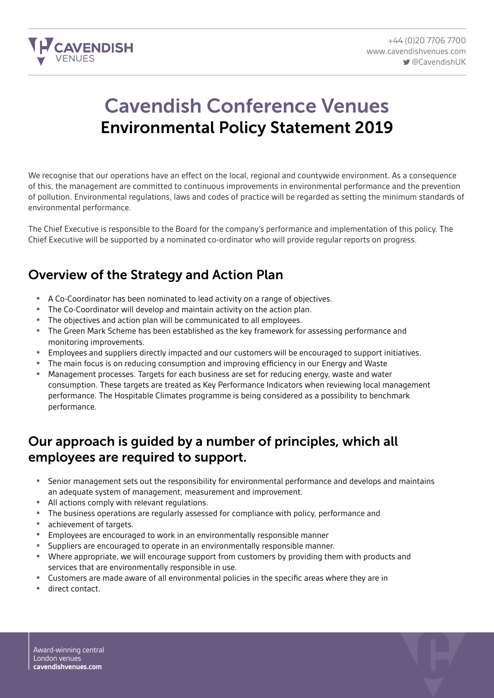

# Cavendish Conference Venues Environmental Policy Statement 2019

We recognise that our operations have an effect on the local, regional and countywide environment. As a consequence of this, the management are committed to continuous improvements in environmental performance and the prevention of pollution. Environmental regulations, laws and codes of practice will be regarded as setting the minimum standards of environmental performance.

The Chief Executive is responsible to the Board for the company's performance and implementation of this policy. The Chief Executive will be supported by a nominated co-ordinator who will provide regular reports on progress.

### Overview of the Strategy and Action Plan

- A Co-Coordinator has been nominated to lead activity on a range of objectives.
- The Co-Coordinator will develop and maintain activity on the action plan.
- The objectives and action plan will be communicated to all employees.
- The Green Mark Scheme has been established as the key framework for assessing performance and monitoring improvements.
- Employees and suppliers directly impacted and our customers will be encouraged to support initiatives.
- The main focus is on reducing consumption and improving efficiency in our Energy and Waste<br>• Management processes. Targets for each business are set for reducing energy, waste and wate
- Management processes. Targets for each business are set for reducing energy, waste and water consumption. These targets are treated as Key Performance Indicators when reviewing local management performance. The Hospitable Climates programme is being considered as a possibility to benchmark performance.

### Our approach is guided by a number of principles, which all employees are required to support.

- Senior management sets out the responsibility for environmental performance and develops and maintains an adequate system of management, measurement and improvement.
- All actions comply with relevant regulations.
- The business operations are regularly assessed for compliance with policy, performance and
- achievement of targets.
- Employees are encouraged to work in an environmentally responsible manner
- Suppliers are encouraged to operate in an environmentally responsible manner.<br>• M/here appropriate we will encourage support from customers by providing the
- Where appropriate, we will encourage support from customers by providing them with products and services that are environmentally responsible in use.
- Customers are made aware of all environmental policies in the specific areas where they are in
- direct contact.

Award-winning central London venues **cavendishvenues.com**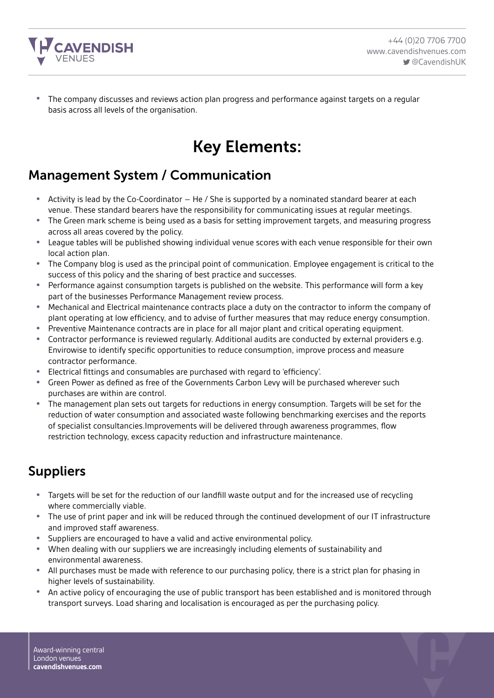

• The company discusses and reviews action plan progress and performance against targets on a regular basis across all levels of the organisation.

## Key Elements:

## Management System / Communication

- Activity is lead by the Co-Coordinator He / She is supported by a nominated standard bearer at each venue. These standard bearers have the responsibility for communicating issues at regular meetings.
- The Green mark scheme is being used as a basis for setting improvement targets, and measuring progress across all areas covered by the policy.
- League tables will be published showing individual venue scores with each venue responsible for their own local action plan.
- The Company blog is used as the principal point of communication. Employee engagement is critical to the success of this policy and the sharing of best practice and successes.
- Performance against consumption targets is published on the website. This performance will form a key part of the businesses Performance Management review process.
- Mechanical and Electrical maintenance contracts place a duty on the contractor to inform the company of plant operating at low efficiency, and to advise of further measures that may reduce energy consumption.
- Preventive Maintenance contracts are in place for all major plant and critical operating equipment.<br>• Contractor performance is reviewed requierly. Additional audits are conducted by external provider
- Contractor performance is reviewed regularly. Additional audits are conducted by external providers e.g. Envirowise to identify specific opportunities to reduce consumption, improve process and measure contractor performance.
- Electrical fittings and consumables are purchased with regard to 'efficiency'.
- Green Power as defined as free of the Governments Carbon Levy will be purchased wherever such purchases are within are control.
- The management plan sets out targets for reductions in energy consumption. Targets will be set for the reduction of water consumption and associated waste following benchmarking exercises and the reports of specialist consultancies.Improvements will be delivered through awareness programmes, flow restriction technology, excess capacity reduction and infrastructure maintenance.

## Suppliers

- Targets will be set for the reduction of our landfill waste output and for the increased use of recycling where commercially viable.
- The use of print paper and ink will be reduced through the continued development of our IT infrastructure and improved staff awareness.
- Suppliers are encouraged to have a valid and active environmental policy.
- When dealing with our suppliers we are increasingly including elements of sustainability and environmental awareness.
- All purchases must be made with reference to our purchasing policy, there is a strict plan for phasing in higher levels of sustainability.
- An active policy of encouraging the use of public transport has been established and is monitored through transport surveys. Load sharing and localisation is encouraged as per the purchasing policy.

Award-winning central London venues **cavendishvenues.com**